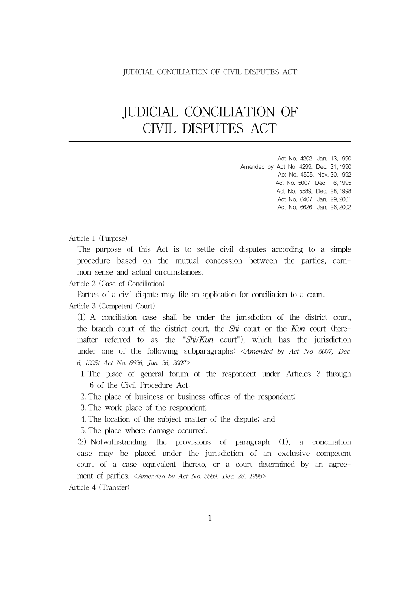# JUDICIAL CONCILIATION OF CIVIL DISPUTES ACT

Act No. 4202, Jan. 13, 1990 Amended by Act No. 4299, Dec. 31, 1990 Act No. 4505, Nov. 30, 1992 Act No. 5007, Dec. 6, 1995 Act No. 5589, Dec. 28, 1998 Act No. 6407, Jan. 29, 2001 Act No. 6626, Jan. 26, 2002

#### Article 1 (Purpose)

The purpose of this Act is to settle civil disputes according to a simple procedure based on the mutual concession between the parties, common sense and actual circumstances.

Article 2 (Case of Conciliation)

Parties of a civil dispute may file an application for conciliation to a court.

Article 3 (Competent Court)

(1) A conciliation case shall be under the jurisdiction of the district court, the branch court of the district court, the *Shi* court or the Kun court (hereinafter referred to as the " $\frac{S\hbar i}{Kun}$  court"), which has the jurisdiction under one of the following subparagraphs:  $\langle$ Amended by Act No. 5007, Dec. 6, 1995; Act No. 6626, Jan. 26, 2002>

- 1. The place of general forum of the respondent under Articles 3 through 6 of the Civil Procedure Act;
- 2. The place of business or business offices of the respondent;

3. The work place of the respondent;

4. The location of the subject-matter of the dispute; and

5. The place where damage occurred.

(2) Notwithstanding the provisions of paragraph (1), a conciliation case may be placed under the jurisdiction of an exclusive competent court of a case equivalent thereto, or a court determined by an agreement of parties. <Amended by Act No. 5589, Dec. 28, 1998>

Article 4 (Transfer)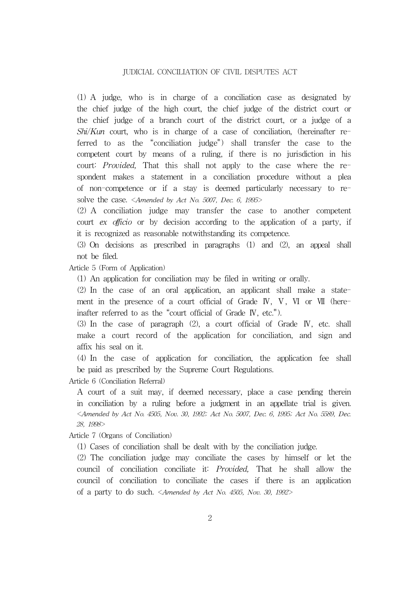(1) A judge, who is in charge of a conciliation case as designated by the chief judge of the high court, the chief judge of the district court or the chief judge of a branch court of the district court, or a judge of a  $Shi/Kun$  court, who is in charge of a case of conciliation, (hereinafter referred to as the "conciliation judge") shall transfer the case to the competent court by means of a ruling, if there is no jurisdiction in his court: Provided, That this shall not apply to the case where the respondent makes a statement in a conciliation procedure without a plea of non-competence or if a stay is deemed particularly necessary to resolve the case. <Amended by Act No. 5007, Dec. 6, 1995>

(2) A conciliation judge may transfer the case to another competent court ex officio or by decision according to the application of a party, if it is recognized as reasonable notwithstanding its competence.

(3) On decisions as prescribed in paragraphs (1) and (2), an appeal shall not be filed.

Article 5 (Form of Application)

(1) An application for conciliation may be filed in writing or orally.

(2) In the case of an oral application, an applicant shall make a statement in the presence of a court official of Grade IV, V, VI or VII (hereinafter referred to as the "court official of Grade IV, etc.").

(3) In the case of paragraph (2), a court official of Grade Ⅳ, etc. shall make a court record of the application for conciliation, and sign and affix his seal on it.

(4) In the case of application for conciliation, the application fee shall be paid as prescribed by the Supreme Court Regulations.

Article 6 (Conciliation Referral)

A court of a suit may, if deemed necessary, place a case pending therein in conciliation by a ruling before a judgment in an appellate trial is given. <Amended by Act No. 4505, Nov. 30, 1992; Act No. 5007, Dec. 6, 1995; Act No. 5589, Dec. 28, 1998>

Article 7 (Organs of Conciliation)

(1) Cases of conciliation shall be dealt with by the conciliation judge.

(2) The conciliation judge may conciliate the cases by himself or let the council of conciliation conciliate it: Provided, That he shall allow the council of conciliation to conciliate the cases if there is an application of a party to do such. <Amended by Act No. 4505, Nov. 30, 1992>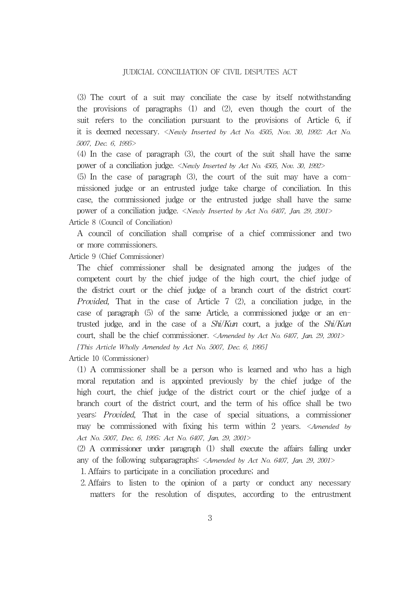(3) The court of a suit may conciliate the case by itself notwithstanding the provisions of paragraphs (1) and (2), even though the court of the suit refers to the conciliation pursuant to the provisions of Article 6, if it is deemed necessary. <Newly Inserted by Act No. 4505, Nov. 30, 1992; Act No. 5007, Dec. 6, 1995>

(4) In the case of paragraph (3), the court of the suit shall have the same power of a conciliation judge. <Newly Inserted by Act No. 4505, Nov. 30, 1992>

(5) In the case of paragraph (3), the court of the suit may have a commissioned judge or an entrusted judge take charge of conciliation. In this case, the commissioned judge or the entrusted judge shall have the same power of a conciliation judge. <Newly Inserted by Act No. 6407, Jan. 29, 2001>

Article 8 (Council of Conciliation)

A council of conciliation shall comprise of a chief commissioner and two or more commissioners.

Article 9 (Chief Commissioner)

The chief commissioner shall be designated among the judges of the competent court by the chief judge of the high court, the chief judge of the district court or the chief judge of a branch court of the district court: Provided, That in the case of Article 7 (2), a conciliation judge, in the case of paragraph (5) of the same Article, a commissioned judge or an entrusted judge, and in the case of a  $Shi/Kun$  court, a judge of the  $Shi/Kun$ court, shall be the chief commissioner. <Amended by Act No. 6407, Jan. 29, 2001>

[This Article Wholly Amended by Act No. 5007, Dec. 6, 1995]

Article 10 (Commissioner)

(1) A commissioner shall be a person who is learned and who has a high moral reputation and is appointed previously by the chief judge of the high court, the chief judge of the district court or the chief judge of a branch court of the district court, and the term of his office shall be two years: Provided, That in the case of special situations, a commissioner may be commissioned with fixing his term within 2 years. <Amended by Act No. 5007, Dec. 6, 1995; Act No. 6407, Jan. 29, 2001>

(2) A commissioner under paragraph (1) shall execute the affairs falling under any of the following subparagraphs: <Amended by Act No. 6407, Jan. 29, 2001>

1. Affairs to participate in a conciliation procedure; and

2. Affairs to listen to the opinion of a party or conduct any necessary matters for the resolution of disputes, according to the entrustment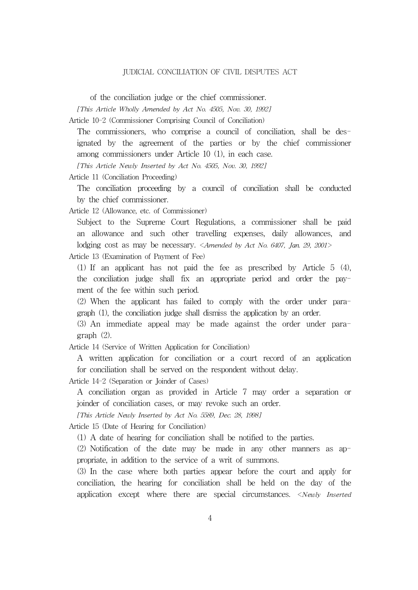of the conciliation judge or the chief commissioner.

[This Article Wholly Amended by Act No. 4505, Nov. 30, 1992]

Article 10-2 (Commissioner Comprising Council of Conciliation)

The commissioners, who comprise a council of conciliation, shall be designated by the agreement of the parties or by the chief commissioner among commissioners under Article 10 (1), in each case.

[This Article Newly Inserted by Act No. 4505, Nov. 30, 1992]

Article 11 (Conciliation Proceeding)

The conciliation proceeding by a council of conciliation shall be conducted by the chief commissioner.

Article 12 (Allowance, etc. of Commissioner)

Subject to the Supreme Court Regulations, a commissioner shall be paid an allowance and such other travelling expenses, daily allowances, and lodging cost as may be necessary. <Amended by Act No. 6407, Jan. 29, 2001>

Article 13 (Examination of Payment of Fee)

(1) If an applicant has not paid the fee as prescribed by Article 5 (4), the conciliation judge shall fix an appropriate period and order the payment of the fee within such period.

(2) When the applicant has failed to comply with the order under paragraph (1), the conciliation judge shall dismiss the application by an order.

(3) An immediate appeal may be made against the order under paragraph (2).

Article 14 (Service of Written Application for Conciliation)

A written application for conciliation or a court record of an application for conciliation shall be served on the respondent without delay.

Article 14-2 (Separation or Joinder of Cases)

A conciliation organ as provided in Article 7 may order a separation or joinder of conciliation cases, or may revoke such an order.

[This Article Newly Inserted by Act No. 5589, Dec. 28, 1998]

Article 15 (Date of Hearing for Conciliation)

(1) A date of hearing for conciliation shall be notified to the parties.

(2) Notification of the date may be made in any other manners as appropriate, in addition to the service of a writ of summons.

(3) In the case where both parties appear before the court and apply for conciliation, the hearing for conciliation shall be held on the day of the application except where there are special circumstances. <Newly Inserted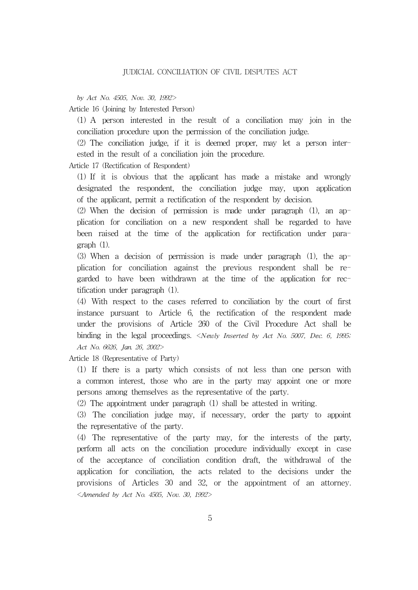by Act No. 4505, Nov. 30, 1992>

Article 16 (Joining by Interested Person)

(1) A person interested in the result of a conciliation may join in the conciliation procedure upon the permission of the conciliation judge.

(2) The conciliation judge, if it is deemed proper, may let a person interested in the result of a conciliation join the procedure.

Article 17 (Rectification of Respondent)

(1) If it is obvious that the applicant has made a mistake and wrongly designated the respondent, the conciliation judge may, upon application of the applicant, permit a rectification of the respondent by decision.

(2) When the decision of permission is made under paragraph (1), an application for conciliation on a new respondent shall be regarded to have been raised at the time of the application for rectification under paragraph (1).

(3) When a decision of permission is made under paragraph (1), the application for conciliation against the previous respondent shall be regarded to have been withdrawn at the time of the application for rectification under paragraph (1).

(4) With respect to the cases referred to conciliation by the court of first instance pursuant to Article 6, the rectification of the respondent made under the provisions of Article 260 of the Civil Procedure Act shall be binding in the legal proceedings. <Newly Inserted by Act No. 5007, Dec. 6, 1995; Act No. 6626, Jan. 26, 2002>

Article 18 (Representative of Party)

(1) If there is a party which consists of not less than one person with a common interest, those who are in the party may appoint one or more persons among themselves as the representative of the party.

(2) The appointment under paragraph (1) shall be attested in writing.

(3) The conciliation judge may, if necessary, order the party to appoint the representative of the party.

(4) The representative of the party may, for the interests of the party, perform all acts on the conciliation procedure individually except in case of the acceptance of conciliation condition draft, the withdrawal of the application for conciliation, the acts related to the decisions under the provisions of Articles 30 and 32, or the appointment of an attorney. <Amended by Act No. 4505, Nov. 30, 1992>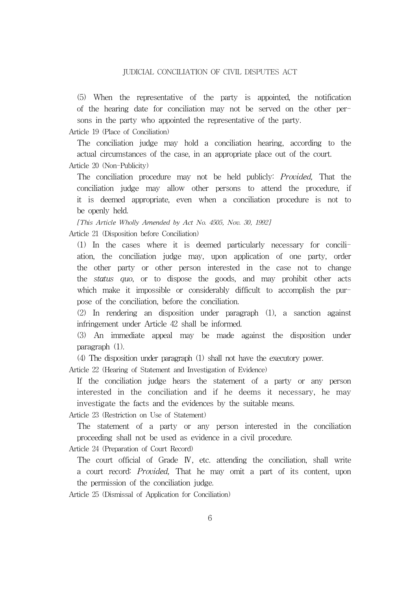(5) When the representative of the party is appointed, the notification of the hearing date for conciliation may not be served on the other persons in the party who appointed the representative of the party.

Article 19 (Place of Conciliation)

The conciliation judge may hold a conciliation hearing, according to the actual circumstances of the case, in an appropriate place out of the court. Article 20 (Non-Publicity)

The conciliation procedure may not be held publicly: *Provided*, That the conciliation judge may allow other persons to attend the procedure, if it is deemed appropriate, even when a conciliation procedure is not to be openly held.

[This Article Wholly Amended by Act No. 4505, Nov. 30, 1992] Article 21 (Disposition before Conciliation)

(1) In the cases where it is deemed particularly necessary for conciliation, the conciliation judge may, upon application of one party, order the other party or other person interested in the case not to change the status quo, or to dispose the goods, and may prohibit other acts which make it impossible or considerably difficult to accomplish the purpose of the conciliation, before the conciliation.

(2) In rendering an disposition under paragraph (1), a sanction against infringement under Article 42 shall be informed.

(3) An immediate appeal may be made against the disposition under paragraph (1).

(4) The disposition under paragraph (1) shall not have the executory power.

Article 22 (Hearing of Statement and Investigation of Evidence)

If the conciliation judge hears the statement of a party or any person interested in the conciliation and if he deems it necessary, he may investigate the facts and the evidences by the suitable means.

Article 23 (Restriction on Use of Statement)

The statement of a party or any person interested in the conciliation proceeding shall not be used as evidence in a civil procedure.

Article 24 (Preparation of Court Record)

The court official of Grade IV, etc. attending the conciliation, shall write a court record: Provided, That he may omit a part of its content, upon the permission of the conciliation judge.

Article 25 (Dismissal of Application for Conciliation)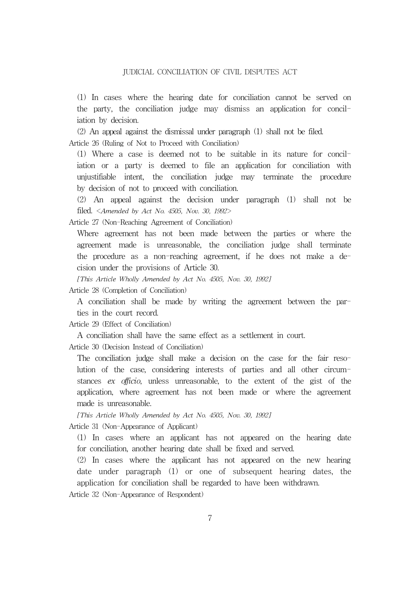(1) In cases where the hearing date for conciliation cannot be served on the party, the conciliation judge may dismiss an application for conciliation by decision.

(2) An appeal against the dismissal under paragraph (1) shall not be filed. Article 26 (Ruling of Not to Proceed with Conciliation)

(1) Where a case is deemed not to be suitable in its nature for conciliation or a party is deemed to file an application for conciliation with unjustifiable intent, the conciliation judge may terminate the procedure by decision of not to proceed with conciliation.

(2) An appeal against the decision under paragraph (1) shall not be filed.  $\langle$ Amended by Act No. 4505, Nov. 30, 1992>

Article 27 (Non-Reaching Agreement of Conciliation)

Where agreement has not been made between the parties or where the agreement made is unreasonable, the conciliation judge shall terminate the procedure as a non-reaching agreement, if he does not make a decision under the provisions of Article 30.

[This Article Wholly Amended by Act No. 4505, Nov. 30, 1992]

Article 28 (Completion of Conciliation)

A conciliation shall be made by writing the agreement between the parties in the court record.

Article 29 (Effect of Conciliation)

A conciliation shall have the same effect as a settlement in court.

Article 30 (Decision Instead of Conciliation)

The conciliation judge shall make a decision on the case for the fair resolution of the case, considering interests of parties and all other circumstances ex officio, unless unreasonable, to the extent of the gist of the application, where agreement has not been made or where the agreement made is unreasonable.

[This Article Wholly Amended by Act No. 4505, Nov. 30, 1992] Article 31 (Non-Appearance of Applicant)

(1) In cases where an applicant has not appeared on the hearing date for conciliation, another hearing date shall be fixed and served.

(2) In cases where the applicant has not appeared on the new hearing date under paragraph (1) or one of subsequent hearing dates, the application for conciliation shall be regarded to have been withdrawn.

Article 32 (Non-Appearance of Respondent)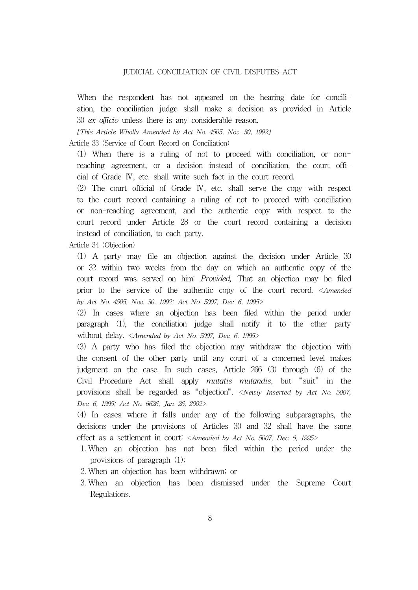When the respondent has not appeared on the hearing date for conciliation, the conciliation judge shall make a decision as provided in Article 30 ex officio unless there is any considerable reason.

[This Article Wholly Amended by Act No. 4505, Nov. 30, 1992]

Article 33 (Service of Court Record on Conciliation)

(1) When there is a ruling of not to proceed with conciliation, or nonreaching agreement, or a decision instead of conciliation, the court official of Grade Ⅳ, etc. shall write such fact in the court record.

(2) The court official of Grade Ⅳ, etc. shall serve the copy with respect to the court record containing a ruling of not to proceed with conciliation or non-reaching agreement, and the authentic copy with respect to the court record under Article 28 or the court record containing a decision instead of conciliation, to each party.

Article 34 (Objection)

(1) A party may file an objection against the decision under Article 30 or 32 within two weeks from the day on which an authentic copy of the court record was served on him: Provided, That an objection may be filed prior to the service of the authentic copy of the court record. <Amended by Act No. 4505, Nov. 30, 1992; Act No. 5007, Dec. 6, 1995>

(2) In cases where an objection has been filed within the period under paragraph (1), the conciliation judge shall notify it to the other party without delay. <Amended by Act No. 5007, Dec. 6, 1995>

(3) A party who has filed the objection may withdraw the objection with the consent of the other party until any court of a concerned level makes judgment on the case. In such cases, Article 266 (3) through (6) of the Civil Procedure Act shall apply *mutatis mutandis*, but "suit" in the provisions shall be regarded as "objection". <Newly Inserted by Act No. 5007, Dec. 6, 1995; Act No. 6626, Jan. 26, 2002>

(4) In cases where it falls under any of the following subparagraphs, the decisions under the provisions of Articles 30 and 32 shall have the same effect as a settlement in court: <Amended by Act No. 5007, Dec. 6, 1995>

- 1. When an objection has not been filed within the period under the provisions of paragraph (1);
- 2. When an objection has been withdrawn; or
- 3. When an objection has been dismissed under the Supreme Court Regulations.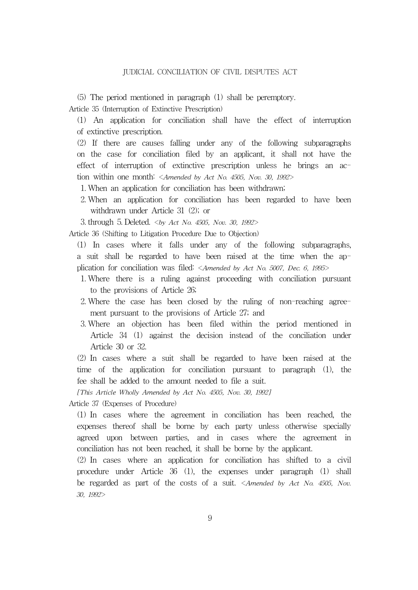(5) The period mentioned in paragraph (1) shall be peremptory.

Article 35 (Interruption of Extinctive Prescription)

(1) An application for conciliation shall have the effect of interruption of extinctive prescription.

(2) If there are causes falling under any of the following subparagraphs on the case for conciliation filed by an applicant, it shall not have the effect of interruption of extinctive prescription unless he brings an action within one month: <*Amended by Act No. 4505, Nov. 30, 1992*>

- 1. When an application for conciliation has been withdrawn;
- 2. When an application for conciliation has been regarded to have been withdrawn under Article 31 (2); or

3. through 5. Deleted. <by Act No. 4505, Nov. 30, 1992>

Article 36 (Shifting to Litigation Procedure Due to Objection)

(1) In cases where it falls under any of the following subparagraphs, a suit shall be regarded to have been raised at the time when the application for conciliation was filed: <Amended by Act No. 5007, Dec. 6, 1995>

- 1. Where there is a ruling against proceeding with conciliation pursuant to the provisions of Article 26;
- 2. Where the case has been closed by the ruling of non-reaching agreement pursuant to the provisions of Article 27; and
- 3. Where an objection has been filed within the period mentioned in Article 34 (1) against the decision instead of the conciliation under Article 30 or 32.

(2) In cases where a suit shall be regarded to have been raised at the time of the application for conciliation pursuant to paragraph (1), the fee shall be added to the amount needed to file a suit.

[This Article Wholly Amended by Act No. 4505, Nov. 30, 1992]

Article 37 (Expenses of Procedure)

(1) In cases where the agreement in conciliation has been reached, the expenses thereof shall be borne by each party unless otherwise specially agreed upon between parties, and in cases where the agreement in conciliation has not been reached, it shall be borne by the applicant.

(2) In cases where an application for conciliation has shifted to a civil procedure under Article 36 (1), the expenses under paragraph (1) shall be regarded as part of the costs of a suit. <Amended by Act No. 4505, Nov. 30, 1992>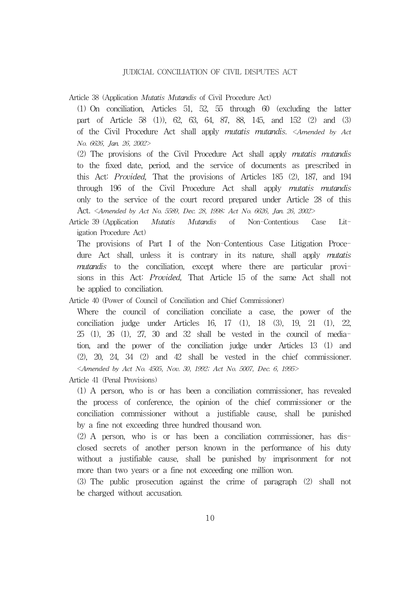Article 38 (Application Mutatis Mutandis of Civil Procedure Act)

(1) On conciliation, Articles 51, 52, 55 through 60 (excluding the latter part of Article 58 (1)), 62, 63, 64, 87, 88, 145, and 152 (2) and (3) of the Civil Procedure Act shall apply mutatis mutandis. <Amended by Act No. 6626, Jan. 26, 2002>

(2) The provisions of the Civil Procedure Act shall apply mutatis mutandis to the fixed date, period, and the service of documents as prescribed in this Act: Provided, That the provisions of Articles 185 (2), 187, and 194 through 196 of the Civil Procedure Act shall apply mutatis mutandis only to the service of the court record prepared under Article 28 of this Act. <Amended by Act No. 5589, Dec. 28, 1998; Act No. 6626, Jan. 26, 2002>

Article 39 (Application Mutatis Mutandis of Non-Contentious Case Litigation Procedure Act)

The provisions of Part I of the Non-Contentious Case Litigation Procedure Act shall, unless it is contrary in its nature, shall apply *mutatis* mutandis to the conciliation, except where there are particular provisions in this Act: Provided, That Article 15 of the same Act shall not be applied to conciliation.

Article 40 (Power of Council of Conciliation and Chief Commissioner)

Where the council of conciliation conciliate a case, the power of the conciliation judge under Articles 16, 17 (1), 18 (3), 19, 21 (1), 22, 25 (1), 26 (1), 27, 30 and 32 shall be vested in the council of mediation, and the power of the conciliation judge under Articles 13 (1) and (2), 20, 24, 34 (2) and 42 shall be vested in the chief commissioner. <Amended by Act No. 4505, Nov. 30, 1992; Act No. 5007, Dec. 6, 1995>

Article 41 (Penal Provisions)

(1) A person, who is or has been a conciliation commissioner, has revealed the process of conference, the opinion of the chief commissioner or the conciliation commissioner without a justifiable cause, shall be punished by a fine not exceeding three hundred thousand won.

(2) A person, who is or has been a conciliation commissioner, has disclosed secrets of another person known in the performance of his duty without a justifiable cause, shall be punished by imprisonment for not more than two years or a fine not exceeding one million won.

(3) The public prosecution against the crime of paragraph (2) shall not be charged without accusation.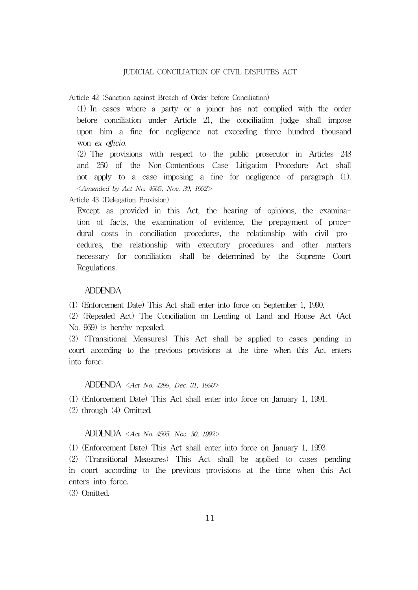Article 42 (Sanction against Breach of Order before Conciliation)

(1) In cases where a party or a joiner has not complied with the order before conciliation under Article 21, the conciliation judge shall impose upon him a fine for negligence not exceeding three hundred thousand won ex officio.

(2) The provisions with respect to the public prosecutor in Articles 248 and 250 of the Non-Contentious Case Litigation Procedure Act shall not apply to a case imposing a fine for negligence of paragraph (1). <Amended by Act No. 4505, Nov. 30, 1992>

Article 43 (Delegation Provision)

Except as provided in this Act, the hearing of opinions, the examination of facts, the examination of evidence, the prepayment of procedural costs in conciliation procedures, the relationship with civil procedures, the relationship with executory procedures and other matters necessary for conciliation shall be determined by the Supreme Court Regulations.

#### ADDENDA

(1) (Enforcement Date) This Act shall enter into force on September 1, 1990.

(2) (Repealed Act) The Conciliation on Lending of Land and House Act (Act No. 969) is hereby repealed.

(3) (Transitional Measures) This Act shall be applied to cases pending in court according to the previous provisions at the time when this Act enters into force.

#### ADDENDA <Act No. 4299, Dec. 31, 1990>

(1) (Enforcement Date) This Act shall enter into force on January 1, 1991.

(2) through (4) Omitted.

#### ADDENDA <Act No. 4505, Nov. 30, 1992>

(1) (Enforcement Date) This Act shall enter into force on January 1, 1993.

(2) (Transitional Measures) This Act shall be applied to cases pending in court according to the previous provisions at the time when this Act enters into force.

(3) Omitted.